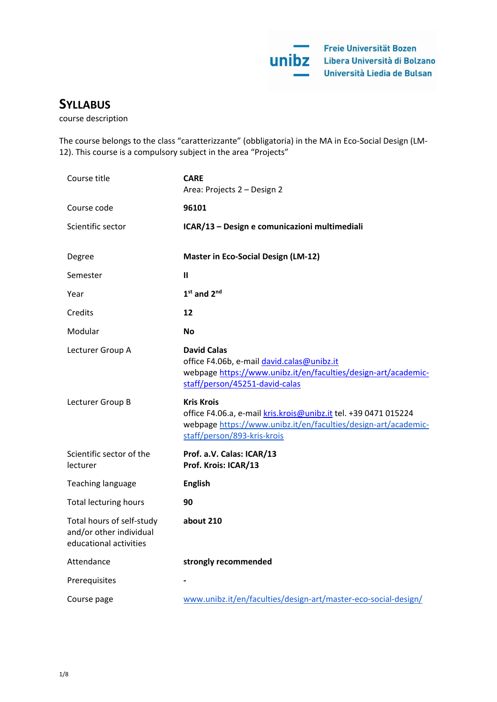# **SYLLABUS**

course description

The course belongs to the class "caratterizzante" (obbligatoria) in the MA in Eco-Social Design (LM-12). This course is a compulsory subject in the area "Projects"

| Course title                                                                   | <b>CARE</b><br>Area: Projects 2 - Design 2                                                                                                                                            |
|--------------------------------------------------------------------------------|---------------------------------------------------------------------------------------------------------------------------------------------------------------------------------------|
| Course code                                                                    | 96101                                                                                                                                                                                 |
| Scientific sector                                                              | ICAR/13 - Design e comunicazioni multimediali                                                                                                                                         |
| Degree                                                                         | <b>Master in Eco-Social Design (LM-12)</b>                                                                                                                                            |
| Semester                                                                       | $\mathbf{I}$                                                                                                                                                                          |
| Year                                                                           | $1st$ and $2nd$                                                                                                                                                                       |
| Credits                                                                        | 12                                                                                                                                                                                    |
| Modular                                                                        | <b>No</b>                                                                                                                                                                             |
| Lecturer Group A                                                               | <b>David Calas</b><br>office F4.06b, e-mail david.calas@unibz.it<br>webpage https://www.unibz.it/en/faculties/design-art/academic-<br>staff/person/45251-david-calas                  |
| Lecturer Group B                                                               | <b>Kris Krois</b><br>office F4.06.a, e-mail kris.krois@unibz.it tel. +39 0471 015224<br>webpage https://www.unibz.it/en/faculties/design-art/academic-<br>staff/person/893-kris-krois |
| Scientific sector of the<br>lecturer                                           | Prof. a.V. Calas: ICAR/13<br>Prof. Krois: ICAR/13                                                                                                                                     |
| Teaching language                                                              | <b>English</b>                                                                                                                                                                        |
| <b>Total lecturing hours</b>                                                   | 90                                                                                                                                                                                    |
| Total hours of self-study<br>and/or other individual<br>educational activities | about 210                                                                                                                                                                             |
| Attendance                                                                     | strongly recommended                                                                                                                                                                  |
| Prerequisites                                                                  |                                                                                                                                                                                       |
| Course page                                                                    | www.unibz.it/en/faculties/design-art/master-eco-social-design/                                                                                                                        |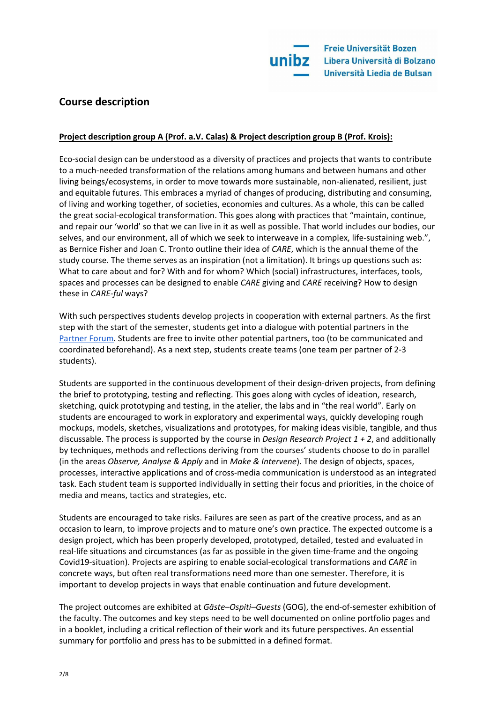

## **Course description**

## **Project description group A (Prof. a.V. Calas) & Project description group B (Prof. Krois):**

Eco-social design can be understood as a diversity of practices and projects that wants to contribute to a much-needed transformation of the relations among humans and between humans and other living beings/ecosystems, in order to move towards more sustainable, non-alienated, resilient, just and equitable futures. This embraces a myriad of changes of producing, distributing and consuming, of living and working together, of societies, economies and cultures. As a whole, this can be called the great social-ecological transformation. This goes along with practices that "maintain, continue, and repair our 'world' so that we can live in it as well as possible. That world includes our bodies, our selves, and our environment, all of which we seek to interweave in a complex, life-sustaining web.", as Bernice Fisher and Joan C. Tronto outline their idea of *CARE*, which is the annual theme of the study course. The theme serves as an inspiration (not a limitation). It brings up questions such as: What to care about and for? With and for whom? Which (social) infrastructures, interfaces, tools, spaces and processes can be designed to enable *CARE* giving and *CARE* receiving? How to design these in *CARE-ful* ways?

With such perspectives students develop projects in cooperation with external partners. As the first step with the start of the semester, students get into a dialogue with potential partners in the [Partner Forum.](https://docs.google.com/document/d/1selRegf1qgmoLPLoMHbRcrttIkLY8g8xGkr4t2AUGPw/edit?usp=sharing) Students are free to invite other potential partners, too (to be communicated and coordinated beforehand). As a next step, students create teams (one team per partner of 2-3 students).

Students are supported in the continuous development of their design-driven projects, from defining the brief to prototyping, testing and reflecting. This goes along with cycles of ideation, research, sketching, quick prototyping and testing, in the atelier, the labs and in "the real world". Early on students are encouraged to work in exploratory and experimental ways, quickly developing rough mockups, models, sketches, visualizations and prototypes, for making ideas visible, tangible, and thus discussable. The process is supported by the course in *Design Research Project 1 + 2*, and additionally by techniques, methods and reflections deriving from the courses' students choose to do in parallel (in the areas *Observe, Analyse & Apply* and in *Make & Intervene*). The design of objects, spaces, processes, interactive applications and of cross-media communication is understood as an integrated task. Each student team is supported individually in setting their focus and priorities, in the choice of media and means, tactics and strategies, etc.

Students are encouraged to take risks. Failures are seen as part of the creative process, and as an occasion to learn, to improve projects and to mature one's own practice. The expected outcome is a design project, which has been properly developed, prototyped, detailed, tested and evaluated in real-life situations and circumstances (as far as possible in the given time-frame and the ongoing Covid19-situation). Projects are aspiring to enable social-ecological transformations and *CARE* in concrete ways, but often real transformations need more than one semester. Therefore, it is important to develop projects in ways that enable continuation and future development.

The project outcomes are exhibited at *Gäste–Ospiti–Guests* (GOG), the end-of-semester exhibition of the faculty. The outcomes and key steps need to be well documented on online portfolio pages and in a booklet, including a critical reflection of their work and its future perspectives. An essential summary for portfolio and press has to be submitted in a defined format.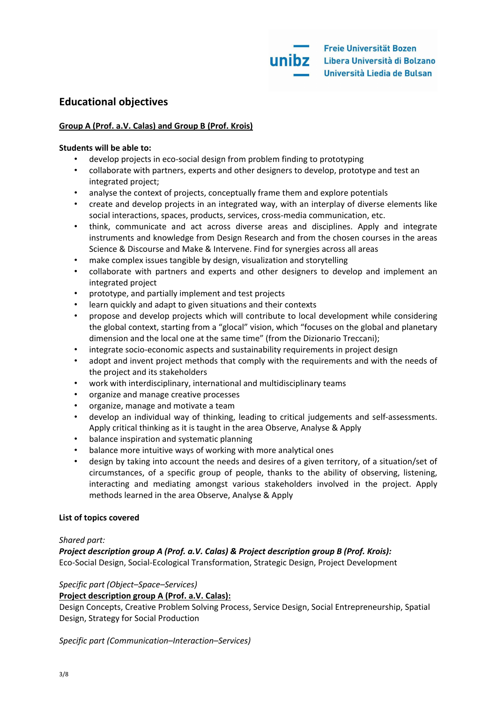## **Educational objectives**

## **Group A (Prof. a.V. Calas) and Group B (Prof. Krois)**

## **Students will be able to:**

- develop projects in eco-social design from problem finding to prototyping
- collaborate with partners, experts and other designers to develop, prototype and test an integrated project;
- analyse the context of projects, conceptually frame them and explore potentials
- create and develop projects in an integrated way, with an interplay of diverse elements like social interactions, spaces, products, services, cross-media communication, etc.
- think, communicate and act across diverse areas and disciplines. Apply and integrate instruments and knowledge from Design Research and from the chosen courses in the areas Science & Discourse and Make & Intervene. Find for synergies across all areas
- make complex issues tangible by design, visualization and storytelling
- collaborate with partners and experts and other designers to develop and implement an integrated project
- prototype, and partially implement and test projects
- learn quickly and adapt to given situations and their contexts
- propose and develop projects which will contribute to local development while considering the global context, starting from a "glocal" vision, which "focuses on the global and planetary dimension and the local one at the same time" (from the Dizionario Treccani);
- integrate socio-economic aspects and sustainability requirements in project design
- adopt and invent project methods that comply with the requirements and with the needs of the project and its stakeholders
- work with interdisciplinary, international and multidisciplinary teams
- organize and manage creative processes
- organize, manage and motivate a team
- develop an individual way of thinking, leading to critical judgements and self-assessments. Apply critical thinking as it is taught in the area Observe, Analyse & Apply
- balance inspiration and systematic planning
- balance more intuitive ways of working with more analytical ones
- design by taking into account the needs and desires of a given territory, of a situation/set of circumstances, of a specific group of people, thanks to the ability of observing, listening, interacting and mediating amongst various stakeholders involved in the project. Apply methods learned in the area Observe, Analyse & Apply

## **List of topics covered**

## *Shared part:*

*Project description group A (Prof. a.V. Calas) & Project description group B (Prof. Krois):*  Eco-Social Design, Social-Ecological Transformation, Strategic Design, Project Development

## *Specific part (Object–Space–Services)*

## **Project description group A (Prof. a.V. Calas):**

Design Concepts, Creative Problem Solving Process, Service Design, Social Entrepreneurship, Spatial Design, Strategy for Social Production

## *Specific part (Communication–Interaction–Services)*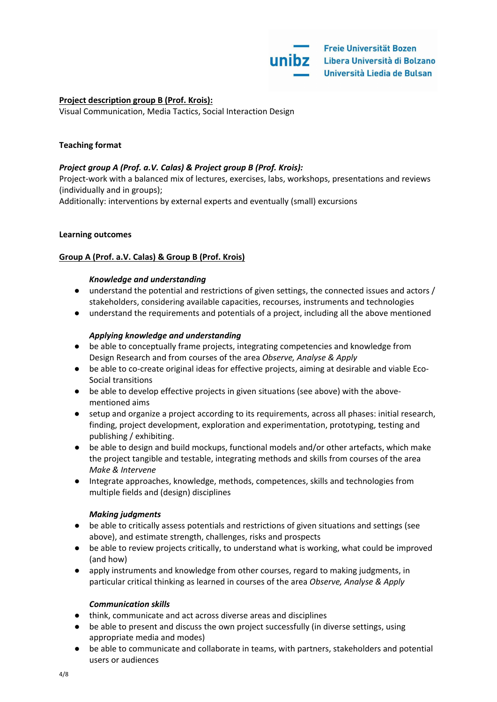## **Project description group B (Prof. Krois):**

Visual Communication, Media Tactics, Social Interaction Design

## **Teaching format**

### *Project group A (Prof. a.V. Calas) & Project group B (Prof. Krois):*

Project-work with a balanced mix of lectures, exercises, labs, workshops, presentations and reviews (individually and in groups);

Additionally: interventions by external experts and eventually (small) excursions

#### **Learning outcomes**

## **Group A (Prof. a.V. Calas) & Group B (Prof. Krois)**

#### *Knowledge and understanding*

- understand the potential and restrictions of given settings, the connected issues and actors / stakeholders, considering available capacities, recourses, instruments and technologies
- understand the requirements and potentials of a project, including all the above mentioned

#### *Applying knowledge and understanding*

- be able to conceptually frame projects, integrating competencies and knowledge from Design Research and from courses of the area *Observe, Analyse & Apply*
- be able to co-create original ideas for effective projects, aiming at desirable and viable Eco-Social transitions
- be able to develop effective projects in given situations (see above) with the abovementioned aims
- setup and organize a project according to its requirements, across all phases: initial research, finding, project development, exploration and experimentation, prototyping, testing and publishing / exhibiting.
- be able to design and build mockups, functional models and/or other artefacts, which make the project tangible and testable, integrating methods and skills from courses of the area *Make & Intervene*
- Integrate approaches, knowledge, methods, competences, skills and technologies from multiple fields and (design) disciplines

#### *Making judgments*

- be able to critically assess potentials and restrictions of given situations and settings (see above), and estimate strength, challenges, risks and prospects
- be able to review projects critically, to understand what is working, what could be improved (and how)
- apply instruments and knowledge from other courses, regard to making judgments, in particular critical thinking as learned in courses of the area *Observe, Analyse & Apply*

#### *Communication skills*

- think, communicate and act across diverse areas and disciplines
- be able to present and discuss the own project successfully (in diverse settings, using appropriate media and modes)
- be able to communicate and collaborate in teams, with partners, stakeholders and potential users or audiences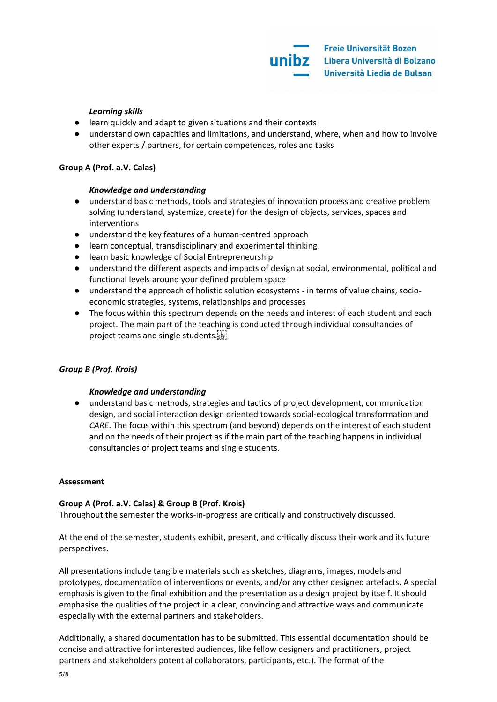### *Learning skills*

- learn quickly and adapt to given situations and their contexts
- understand own capacities and limitations, and understand, where, when and how to involve other experts / partners, for certain competences, roles and tasks

## **Group A (Prof. a.V. Calas)**

## *Knowledge and understanding*

- understand basic methods, tools and strategies of innovation process and creative problem solving (understand, systemize, create) for the design of objects, services, spaces and interventions
- understand the key features of a human-centred approach
- learn conceptual, transdisciplinary and experimental thinking
- learn basic knowledge of Social Entrepreneurship
- understand the different aspects and impacts of design at social, environmental, political and functional levels around your defined problem space
- understand the approach of holistic solution ecosystems in terms of value chains, socioeconomic strategies, systems, relationships and processes
- The focus within this spectrum depends on the needs and interest of each student and each project. The main part of the teaching is conducted through individual consultancies of project teams and single students.

## *Group B (Prof. Krois)*

## *Knowledge and understanding*

● understand basic methods, strategies and tactics of project development, communication design, and social interaction design oriented towards social-ecological transformation and *CARE*. The focus within this spectrum (and beyond) depends on the interest of each student and on the needs of their project as if the main part of the teaching happens in individual consultancies of project teams and single students.

#### **Assessment**

## **Group A (Prof. a.V. Calas) & Group B (Prof. Krois)**

Throughout the semester the works-in-progress are critically and constructively discussed.

At the end of the semester, students exhibit, present, and critically discuss their work and its future perspectives.

All presentations include tangible materials such as sketches, diagrams, images, models and prototypes, documentation of interventions or events, and/or any other designed artefacts. A special emphasis is given to the final exhibition and the presentation as a design project by itself. It should emphasise the qualities of the project in a clear, convincing and attractive ways and communicate especially with the external partners and stakeholders.

Additionally, a shared documentation has to be submitted. This essential documentation should be concise and attractive for interested audiences, like fellow designers and practitioners, project partners and stakeholders potential collaborators, participants, etc.). The format of the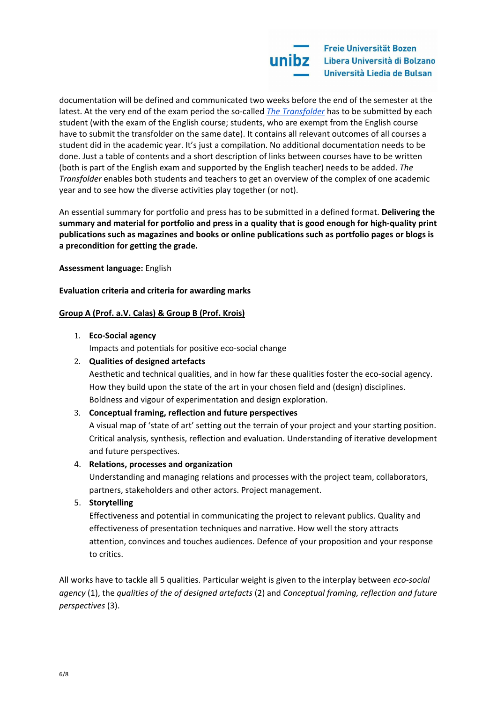

documentation will be defined and communicated two weeks before the end of the semester at the latest. At the very end of the exam period the so-called *[The Transfolder](https://docs.google.com/document/d/1ok7oar_tqrw80F_RSatHrKX_9F1emHi2gsPuwjR4U4Q/edit?usp=sharing)* has to be submitted by each student (with the exam of the English course; students, who are exempt from the English course have to submit the transfolder on the same date). It contains all relevant outcomes of all courses a student did in the academic year. It's just a compilation. No additional documentation needs to be done. Just a table of contents and a short description of links between courses have to be written (both is part of the English exam and supported by the English teacher) needs to be added. *The Transfolder* enables both students and teachers to get an overview of the complex of one academic year and to see how the diverse activities play together (or not).

An essential summary for portfolio and press has to be submitted in a defined format. **Delivering the summary and material for portfolio and press in a quality that is good enough for high-quality print publications such as magazines and books or online publications such as portfolio pages or blogs is a precondition for getting the grade.**

**Assessment language:** English

**Evaluation criteria and criteria for awarding marks**

## **Group A (Prof. a.V. Calas) & Group B (Prof. Krois)**

1. **Eco-Social agency**

Impacts and potentials for positive eco-social change

## 2. **Qualities of designed artefacts**

Aesthetic and technical qualities, and in how far these qualities foster the eco-social agency. How they build upon the state of the art in your chosen field and (design) disciplines. Boldness and vigour of experimentation and design exploration.

#### 3. **Conceptual framing, reflection and future perspectives**

A visual map of 'state of art' setting out the terrain of your project and your starting position. Critical analysis, synthesis, reflection and evaluation. Understanding of iterative development and future perspectives.

#### 4. **Relations, processes and organization**

Understanding and managing relations and processes with the project team, collaborators, partners, stakeholders and other actors. Project management.

#### 5. **Storytelling**

Effectiveness and potential in communicating the project to relevant publics. Quality and effectiveness of presentation techniques and narrative. How well the story attracts attention, convinces and touches audiences. Defence of your proposition and your response to critics.

All works have to tackle all 5 qualities. Particular weight is given to the interplay between *eco-social agency* (1), the *qualities of the of designed artefacts* (2) and *Conceptual framing, reflection and future perspectives* (3).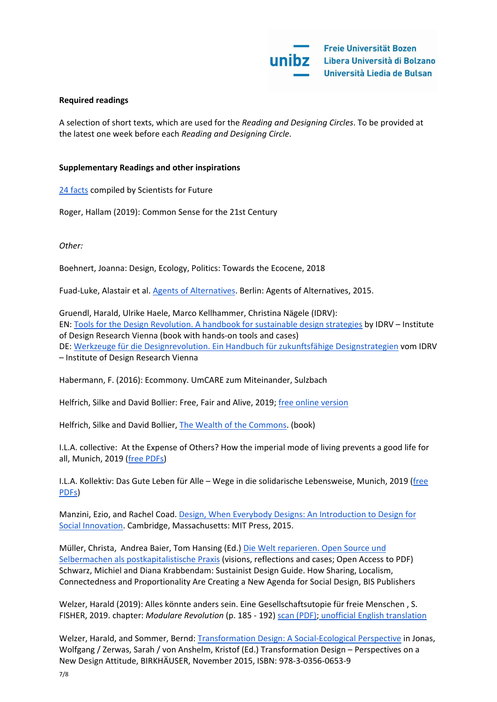#### **Required readings**

A selection of short texts, which are used for the *Reading and Designing Circles*. To be provided at the latest one week before each *Reading and Designing Circle*.

#### **Supplementary Readings and other inspirations**

[24 facts](https://www.scientists4future.org/stellungnahme/facts-2019-03/) compiled by Scientists for Future

Roger, Hallam (2019): Common Sense for the 21st Century

*Other:* 

Boehnert, Joanna: Design, Ecology, Politics: Towards the Ecocene, 2018

Fuad-Luke, Alastair et al. [Agents of Alternatives.](http://agentsofalternatives.com/?page_id=351) Berlin: Agents of Alternatives, 2015.

Gruendl, Harald, Ulrike Haele, Marco Kellhammer, Christina Nägele (IDRV): EN: [Tools for the Design Revolution. A handbook for sustainable design strategies](http://www.idrv.org/publications/tftdr/) by IDRV – Institute of Design Research Vienna (book with hands-on tools and cases) DE: [Werkzeuge für die Designrevolution. Ein Handbuch für zukunftsfähige Designstrategien](http://www.idrv.org/publications/wfddr/) vom IDRV – Institute of Design Research Vienna

Habermann, F. (2016): Ecommony. UmCARE zum Miteinander, Sulzbach

Helfrich, Silke and David Bollier: Free, Fair and Alive, 2019; [free online version](https://www.freefairandalive.org/read-it/)

Helfrich, Silke and David Bollier, [The Wealth of the Commons.](http://wealthofthecommons.org/) (book)

I.L.A. collective: At the Expense of Others? How the imperial mode of living prevents a good life for all, Munich, 2019 [\(free PDFs\)](https://aufkostenanderer.org/publication-in-english-language/)

I.L.A. Kollektiv: Das Gute Leben für Alle – Wege in die solidarische Lebensweise, Munich, 2019 [\(free](https://aufkostenanderer.org/publication-in-english-language/)  [PDFs\)](https://aufkostenanderer.org/publication-in-english-language/)

Manzini, Ezio, and Rachel Coad[. Design, When Everybody Designs: An Introduction to Design for](http://www.amazon.co.uk/Design-When-Everybody-Designs-Introduction/dp/0262028603/ref=sr_1_1?ie=UTF8&qid=1449148459&sr=8-1&keywords=manzini+design+when+everybody)  [Social Innovation.](http://www.amazon.co.uk/Design-When-Everybody-Designs-Introduction/dp/0262028603/ref=sr_1_1?ie=UTF8&qid=1449148459&sr=8-1&keywords=manzini+design+when+everybody) Cambridge, Massachusetts: MIT Press, 2015.

Müller, Christa, Andrea Baier, Tom Hansing (Ed.[\) Die Welt reparieren. Open Source und](http://www.transcript-verlag.de/978-3-8376-3377-1/die-welt-reparieren)  [Selbermachen als postkapitalistische Praxis](http://www.transcript-verlag.de/978-3-8376-3377-1/die-welt-reparieren) (visions, reflections and cases; Open Access to PDF) Schwarz, Michiel and Diana Krabbendam: Sustainist Design Guide. How Sharing, Localism, Connectedness and Proportionality Are Creating a New Agenda for Social Design, BIS Publishers

Welzer, Harald (2019): Alles könnte anders sein. Eine Gesellschaftsutopie für freie Menschen , S. FISHER, 2019. chapter: *Modulare Revolution* (p. 185 - 192[\) scan \(PDF\);](https://drive.google.com/file/d/1nZXJoGiVzdunAIDUw_zMEdN3eAQUKE8c/view?usp=sharing) [unofficial English translation](https://docs.google.com/document/d/1ToBpF8Zu1PlPAIhe21KXae8OSbIBtw5r5-QD_2gYFkU/edit?usp=sharing)

Welzer, Harald, and Sommer, Bernd: [Transformation Design: A Social-Ecological Perspective](http://www.degruyter.com/view/books/9783035606539/9783035606539-015/9783035606539-015.xml) in Jonas, Wolfgang / Zerwas, Sarah / von Anshelm, Kristof (Ed.) Transformation Design – Perspectives on a New Design Attitude, BIRKHÄUSER, November 2015, ISBN: 978-3-0356-0653-9